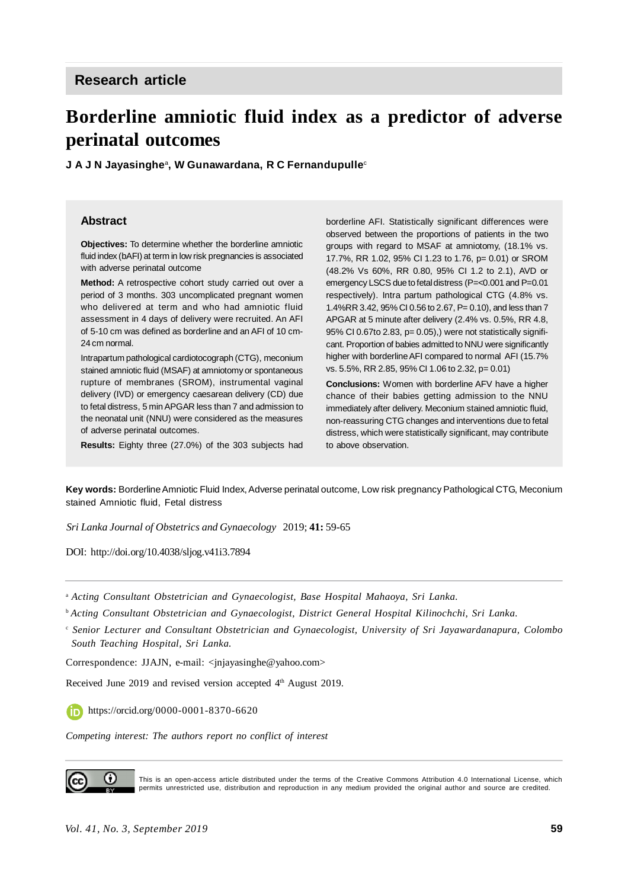# **Borderline amniotic fluid index as a predictor of adverse perinatal outcomes**

**J A J N Jayasinghe**<sup>a</sup> **, W Gunawardana, R C Fernandupulle**<sup>c</sup>

#### **Abstract**

**Objectives:** To determine whether the borderline amniotic fluid index (bAFI) at term in low risk pregnancies is associated with adverse perinatal outcome

**Method:** A retrospective cohort study carried out over a period of 3 months. 303 uncomplicated pregnant women who delivered at term and who had amniotic fluid assessment in 4 days of delivery were recruited. An AFI of 5-10 cm was defined as borderline and an AFI of 10 cm-24 cm normal.

Intrapartum pathological cardiotocograph (CTG), meconium stained amniotic fluid (MSAF) at amniotomy or spontaneous rupture of membranes (SROM), instrumental vaginal delivery (IVD) or emergency caesarean delivery (CD) due to fetal distress, 5 min APGAR less than 7 and admission to the neonatal unit (NNU) were considered as the measures of adverse perinatal outcomes.

**Results:** Eighty three (27.0%) of the 303 subjects had

borderline AFI. Statistically significant differences were observed between the proportions of patients in the two groups with regard to MSAF at amniotomy, (18.1% vs. 17.7%, RR 1.02, 95% CI 1.23 to 1.76, p= 0.01) or SROM (48.2% Vs 60%, RR 0.80, 95% CI 1.2 to 2.1), AVD or emergency LSCS due to fetal distress (P=<0.001 and P=0.01 respectively). Intra partum pathological CTG (4.8% vs. 1.4%RR 3.42, 95% CI 0.56 to 2.67, P= 0.10), and less than 7 APGAR at 5 minute after delivery (2.4% vs. 0.5%, RR 4.8, 95% CI 0.67to 2.83, p= 0.05), were not statistically significant. Proportion of babies admitted to NNU were significantly higher with borderline AFI compared to normal AFI (15.7% vs. 5.5%, RR 2.85, 95% CI 1.06 to 2.32, p= 0.01)

**Conclusions:** Women with borderline AFV have a higher chance of their babies getting admission to the NNU immediately after delivery. Meconium stained amniotic fluid, non-reassuring CTG changes and interventions due to fetal distress, which were statistically significant, may contribute to above observation.

**Key words:** Borderline Amniotic Fluid Index, Adverse perinatal outcome, Low risk pregnancy Pathological CTG, Meconium stained Amniotic fluid, Fetal distress

*Sri Lanka Journal of Obstetrics and Gynaecology* 2019; **41:** 59-65

DOI: <http://doi.org/10.4038/sljog.v41i3.7894>

<sup>a</sup> *Acting Consultant Obstetrician and Gynaecologist, Base Hospital Mahaoya, Sri Lanka.*

<sup>b</sup>*Acting Consultant Obstetrician and Gynaecologist, District General Hospital Kilinochchi, Sri Lanka.*

c  *Senior Lecturer and Consultant Obstetrician and Gynaecologist, University of Sri Jayawardanapura, Colombo South Teaching Hospital, Sri Lanka.*

Correspondence: JJAJN, e-mail: <[jnjayasinghe@yahoo.com>](mailto:jnjayasinghe@yahoo.com)

Received June 2019 and revised version accepted 4<sup>th</sup> August 2019.

<https://orcid.org/0000-0001-8370-6620>

*Competing interest: The authors report no conflict of interest*



This is an open-access article distributed under the terms of the Creative Commons Attribution 4.0 International License, which permits unrestricted use, distribution and reproduction in any medium provided the original author and source are credited.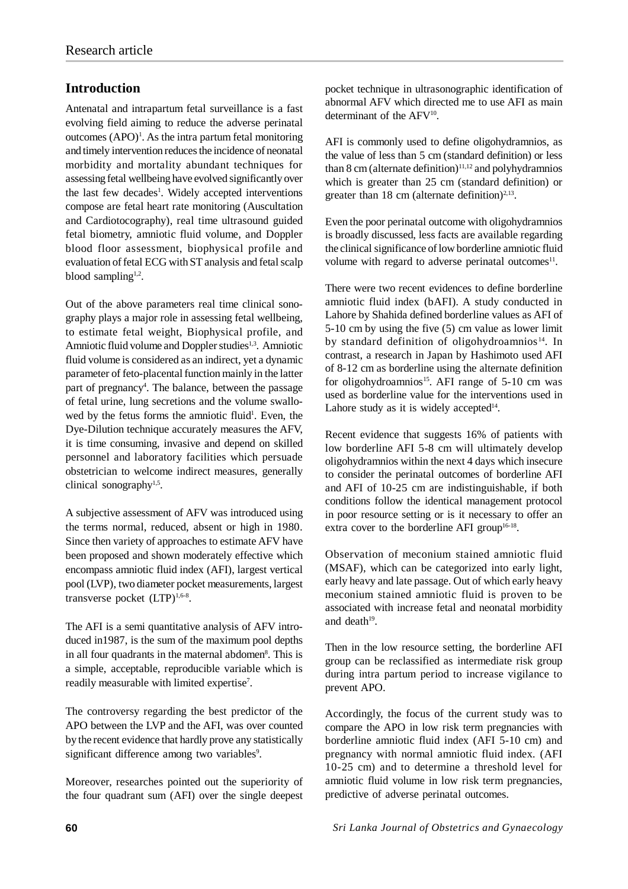## **Introduction**

Antenatal and intrapartum fetal surveillance is a fast evolving field aiming to reduce the adverse perinatal outcomes  $( APO)^1$ . As the intra partum fetal monitoring and timely intervention reduces the incidence of neonatal morbidity and mortality abundant techniques for assessing fetal wellbeing have evolved significantly over the last few decades<sup>1</sup>. Widely accepted interventions compose are fetal heart rate monitoring (Auscultation and Cardiotocography), real time ultrasound guided fetal biometry, amniotic fluid volume, and Doppler blood floor assessment, biophysical profile and evaluation of fetal ECG with ST analysis and fetal scalp blood sampling<sup>1,2</sup>.

Out of the above parameters real time clinical sonography plays a major role in assessing fetal wellbeing, to estimate fetal weight, Biophysical profile, and Amniotic fluid volume and Doppler studies<sup>1,3</sup>. Amniotic fluid volume is considered as an indirect, yet a dynamic parameter of feto-placental function mainly in the latter part of pregnancy<sup>4</sup>. The balance, between the passage of fetal urine, lung secretions and the volume swallowed by the fetus forms the amniotic fluid<sup>1</sup>. Even, the Dye-Dilution technique accurately measures the AFV, it is time consuming, invasive and depend on skilled personnel and laboratory facilities which persuade obstetrician to welcome indirect measures, generally clinical sonography<sup>1,5</sup>.

A subjective assessment of AFV was introduced using the terms normal, reduced, absent or high in 1980. Since then variety of approaches to estimate AFV have been proposed and shown moderately effective which encompass amniotic fluid index (AFI), largest vertical pool (LVP), two diameter pocket measurements, largest transverse pocket (LTP)<sup>1,6-8</sup>.

The AFI is a semi quantitative analysis of AFV introduced in1987, is the sum of the maximum pool depths in all four quadrants in the maternal abdomen<sup>8</sup>. This is a simple, acceptable, reproducible variable which is readily measurable with limited expertise<sup>7</sup>.

The controversy regarding the best predictor of the APO between the LVP and the AFI, was over counted by the recent evidence that hardly prove any statistically significant difference among two variables<sup>9</sup>.

Moreover, researches pointed out the superiority of the four quadrant sum (AFI) over the single deepest pocket technique in ultrasonographic identification of abnormal AFV which directed me to use AFI as main determinant of the AFV<sup>10</sup>.

AFI is commonly used to define oligohydramnios, as the value of less than 5 cm (standard definition) or less than 8 cm (alternate definition)<sup>11,12</sup> and polyhydramnios which is greater than 25 cm (standard definition) or greater than 18 cm (alternate definition)<sup>2,13</sup>.

Even the poor perinatal outcome with oligohydramnios is broadly discussed, less facts are available regarding the clinical significance of low borderline amniotic fluid volume with regard to adverse perinatal outcomes<sup>11</sup>.

There were two recent evidences to define borderline amniotic fluid index (bAFI). A study conducted in Lahore by Shahida defined borderline values as AFI of 5-10 cm by using the five (5) cm value as lower limit by standard definition of oligohydroamnios<sup>14</sup>. In contrast, a research in Japan by Hashimoto used AFI of 8-12 cm as borderline using the alternate definition for oligohydroamnios<sup>15</sup>. AFI range of  $5-10$  cm was used as borderline value for the interventions used in Lahore study as it is widely accepted $14$ .

Recent evidence that suggests 16% of patients with low borderline AFI 5-8 cm will ultimately develop oligohydramnios within the next 4 days which insecure to consider the perinatal outcomes of borderline AFI and AFI of 10-25 cm are indistinguishable, if both conditions follow the identical management protocol in poor resource setting or is it necessary to offer an extra cover to the borderline AFI group<sup>16-18</sup>.

Observation of meconium stained amniotic fluid (MSAF), which can be categorized into early light, early heavy and late passage. Out of which early heavy meconium stained amniotic fluid is proven to be associated with increase fetal and neonatal morbidity and death $19$ .

Then in the low resource setting, the borderline AFI group can be reclassified as intermediate risk group during intra partum period to increase vigilance to prevent APO.

Accordingly, the focus of the current study was to compare the APO in low risk term pregnancies with borderline amniotic fluid index (AFI 5-10 cm) and pregnancy with normal amniotic fluid index. (AFI 10-25 cm) and to determine a threshold level for amniotic fluid volume in low risk term pregnancies, predictive of adverse perinatal outcomes.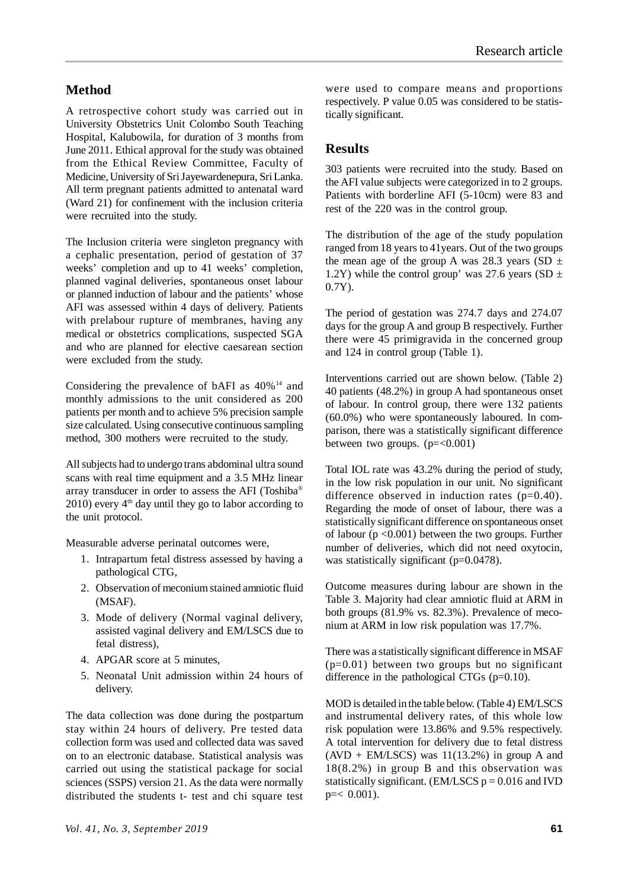## **Method**

A retrospective cohort study was carried out in University Obstetrics Unit Colombo South Teaching Hospital, Kalubowila, for duration of 3 months from June 2011. Ethical approval for the study was obtained from the Ethical Review Committee, Faculty of Medicine, University of Sri Jayewardenepura, Sri Lanka. All term pregnant patients admitted to antenatal ward (Ward 21) for confinement with the inclusion criteria were recruited into the study.

The Inclusion criteria were singleton pregnancy with a cephalic presentation, period of gestation of 37 weeks' completion and up to 41 weeks' completion, planned vaginal deliveries, spontaneous onset labour or planned induction of labour and the patients' whose AFI was assessed within 4 days of delivery. Patients with prelabour rupture of membranes, having any medical or obstetrics complications, suspected SGA and who are planned for elective caesarean section were excluded from the study.

Considering the prevalence of bAFI as  $40\%$ <sup>14</sup> and monthly admissions to the unit considered as 200 patients per month and to achieve 5% precision sample size calculated. Using consecutive continuous sampling method, 300 mothers were recruited to the study.

All subjects had to undergo trans abdominal ultra sound scans with real time equipment and a 3.5 MHz linear array transducer in order to assess the AFI (Toshiba®  $2010$ ) every  $4<sup>th</sup>$  day until they go to labor according to the unit protocol.

Measurable adverse perinatal outcomes were,

- 1. Intrapartum fetal distress assessed by having a pathological CTG,
- 2. Observation of meconium stained amniotic fluid (MSAF).
- 3. Mode of delivery (Normal vaginal delivery, assisted vaginal delivery and EM/LSCS due to fetal distress),
- 4. APGAR score at 5 minutes,
- 5. Neonatal Unit admission within 24 hours of delivery.

The data collection was done during the postpartum stay within 24 hours of delivery. Pre tested data collection form was used and collected data was saved on to an electronic database. Statistical analysis was carried out using the statistical package for social sciences (SSPS) version 21. As the data were normally distributed the students t- test and chi square test were used to compare means and proportions respectively. P value 0.05 was considered to be statistically significant.

#### **Results**

303 patients were recruited into the study. Based on the AFI value subjects were categorized in to 2 groups. Patients with borderline AFI (5-10cm) were 83 and rest of the 220 was in the control group.

The distribution of the age of the study population ranged from 18 years to 41years. Out of the two groups the mean age of the group A was 28.3 years (SD  $\pm$ 1.2Y) while the control group' was 27.6 years (SD  $\pm$ 0.7Y).

The period of gestation was 274.7 days and 274.07 days for the group A and group B respectively. Further there were 45 primigravida in the concerned group and 124 in control group (Table 1).

Interventions carried out are shown below. (Table 2) 40 patients (48.2%) in group A had spontaneous onset of labour. In control group, there were 132 patients (60.0%) who were spontaneously laboured. In comparison, there was a statistically significant difference between two groups.  $(p=<0.001)$ 

Total IOL rate was 43.2% during the period of study, in the low risk population in our unit. No significant difference observed in induction rates (p=0.40). Regarding the mode of onset of labour, there was a statistically significant difference on spontaneous onset of labour  $(p \le 0.001)$  between the two groups. Further number of deliveries, which did not need oxytocin, was statistically significant (p=0.0478).

Outcome measures during labour are shown in the Table 3. Majority had clear amniotic fluid at ARM in both groups (81.9% vs. 82.3%). Prevalence of meconium at ARM in low risk population was 17.7%.

There was a statistically significant difference in MSAF  $(p=0.01)$  between two groups but no significant difference in the pathological CTGs (p=0.10).

MOD is detailed in the table below. (Table 4) EM/LSCS and instrumental delivery rates, of this whole low risk population were 13.86% and 9.5% respectively. A total intervention for delivery due to fetal distress  $(AVD + EM/LSCS)$  was  $11(13.2%)$  in group A and 18(8.2%) in group B and this observation was statistically significant. (EM/LSCS  $p = 0.016$  and IVD  $p = 0.001$ .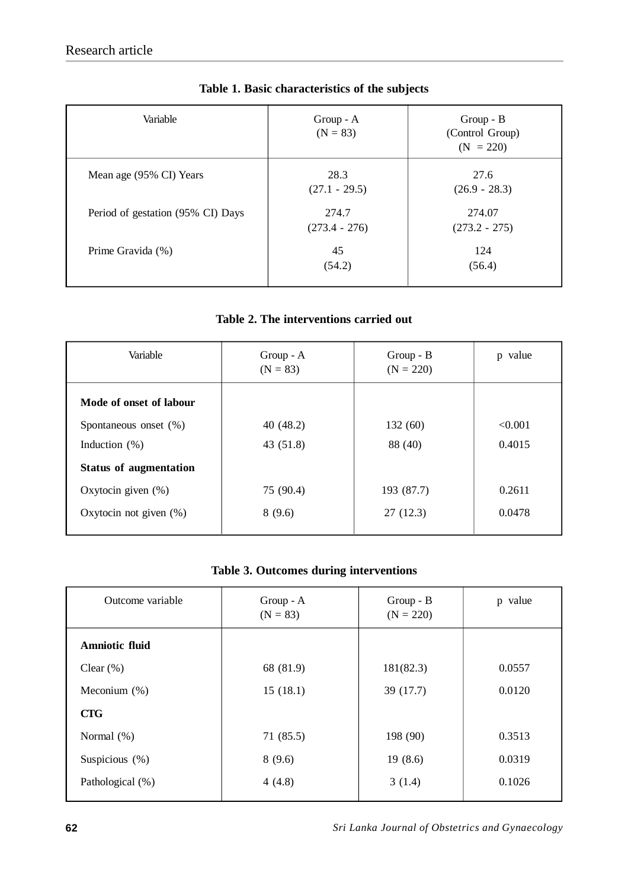| Variable                          | $Group - A$<br>$(N = 83)$ | $Group - B$<br>(Control Group)<br>$(N = 220)$ |
|-----------------------------------|---------------------------|-----------------------------------------------|
| Mean age (95% CI) Years           | 28.3<br>$(27.1 - 29.5)$   | 27.6<br>$(26.9 - 28.3)$                       |
| Period of gestation (95% CI) Days | 274.7<br>$(273.4 - 276)$  | 274.07<br>$(273.2 - 275)$                     |
| Prime Gravida (%)                 | 45<br>(54.2)              | 124<br>(56.4)                                 |

# **Table 1. Basic characteristics of the subjects**

## **Table 2. The interventions carried out**

| Variable                      | $Group - A$<br>$(N = 83)$ | $Group - B$<br>$(N = 220)$ | p value |
|-------------------------------|---------------------------|----------------------------|---------|
| Mode of onset of labour       |                           |                            |         |
| Spontaneous onset (%)         | 40(48.2)                  | 132 (60)                   | < 0.001 |
| Induction $(\%)$              | 43(51.8)                  | 88 (40)                    | 0.4015  |
| <b>Status of augmentation</b> |                           |                            |         |
| Oxytocin given $(\%)$         | 75 (90.4)                 | 193 (87.7)                 | 0.2611  |
| Oxytocin not given $(\%)$     | 8(9.6)                    | 27(12.3)                   | 0.0478  |

## **Table 3. Outcomes during interventions**

| Outcome variable      | Group - A<br>$(N = 83)$ | Group - B<br>$(N = 220)$ | p value |
|-----------------------|-------------------------|--------------------------|---------|
| <b>Amniotic fluid</b> |                         |                          |         |
| Clear $(\%)$          | 68 (81.9)               | 181(82.3)                | 0.0557  |
| Meconium $(\%)$       | 15(18.1)                | 39 (17.7)                | 0.0120  |
| <b>CTG</b>            |                         |                          |         |
| Normal (%)            | 71(85.5)                | 198 (90)                 | 0.3513  |
| Suspicious $(\%)$     | 8(9.6)                  | 19(8.6)                  | 0.0319  |
| Pathological (%)      | 4(4.8)                  | 3(1.4)                   | 0.1026  |
|                       |                         |                          |         |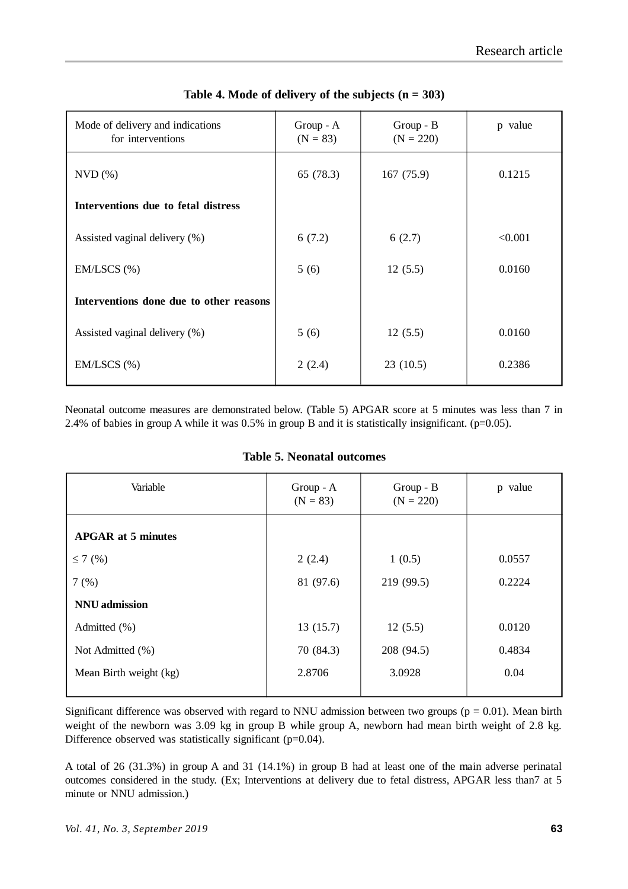| Mode of delivery and indications<br>for interventions | $Group - A$<br>$(N = 83)$ | $Group - B$<br>$(N = 220)$ | p value |
|-------------------------------------------------------|---------------------------|----------------------------|---------|
| $NVD$ $%$                                             | 65 (78.3)                 | 167(75.9)                  | 0.1215  |
| Interventions due to fetal distress                   |                           |                            |         |
| Assisted vaginal delivery (%)                         | 6(7.2)                    | 6(2.7)                     | < 0.001 |
| $EM/LSCS$ $(\%)$                                      | 5(6)                      | 12(5.5)                    | 0.0160  |
| Interventions done due to other reasons               |                           |                            |         |
| Assisted vaginal delivery (%)                         | 5(6)                      | 12(5.5)                    | 0.0160  |
| $EM/LSCS$ $(\% )$                                     | 2(2.4)                    | 23(10.5)                   | 0.2386  |

| Table 4. Mode of delivery of the subjects $(n = 303)$ |  |  |  |
|-------------------------------------------------------|--|--|--|
|-------------------------------------------------------|--|--|--|

Neonatal outcome measures are demonstrated below. (Table 5) APGAR score at 5 minutes was less than 7 in 2.4% of babies in group A while it was  $0.5\%$  in group B and it is statistically insignificant. (p=0.05).

| Variable                  | Group - A<br>$(N = 83)$ | Group - B<br>$(N = 220)$ | p value |
|---------------------------|-------------------------|--------------------------|---------|
| <b>APGAR at 5 minutes</b> |                         |                          |         |
| $\leq 7$ (%)              | 2(2.4)                  | 1(0.5)                   | 0.0557  |
| 7(%)                      | 81 (97.6)               | 219 (99.5)               | 0.2224  |
| <b>NNU</b> admission      |                         |                          |         |
| Admitted (%)              | 13(15.7)                | 12(5.5)                  | 0.0120  |
| Not Admitted (%)          | 70 (84.3)               | 208 (94.5)               | 0.4834  |
| Mean Birth weight (kg)    | 2.8706                  | 3.0928                   | 0.04    |

#### **Table 5. Neonatal outcomes**

Significant difference was observed with regard to NNU admission between two groups ( $p = 0.01$ ). Mean birth weight of the newborn was 3.09 kg in group B while group A, newborn had mean birth weight of 2.8 kg. Difference observed was statistically significant (p=0.04).

A total of 26 (31.3%) in group A and 31 (14.1%) in group B had at least one of the main adverse perinatal outcomes considered in the study. (Ex; Interventions at delivery due to fetal distress, APGAR less than7 at 5 minute or NNU admission.)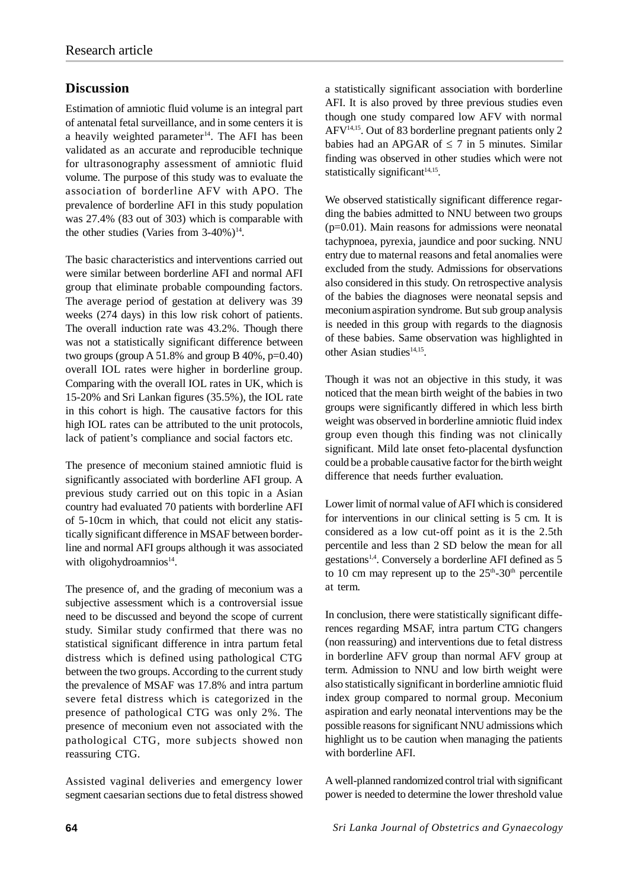## **Discussion**

Estimation of amniotic fluid volume is an integral part of antenatal fetal surveillance, and in some centers it is a heavily weighted parameter<sup>14</sup>. The AFI has been validated as an accurate and reproducible technique for ultrasonography assessment of amniotic fluid volume. The purpose of this study was to evaluate the association of borderline AFV with APO. The prevalence of borderline AFI in this study population was 27.4% (83 out of 303) which is comparable with the other studies (Varies from  $3-40\%$ )<sup>14</sup>.

The basic characteristics and interventions carried out were similar between borderline AFI and normal AFI group that eliminate probable compounding factors. The average period of gestation at delivery was 39 weeks (274 days) in this low risk cohort of patients. The overall induction rate was 43.2%. Though there was not a statistically significant difference between two groups (group A 51.8% and group B  $40\%$ , p=0.40) overall IOL rates were higher in borderline group. Comparing with the overall IOL rates in UK, which is 15-20% and Sri Lankan figures (35.5%), the IOL rate in this cohort is high. The causative factors for this high IOL rates can be attributed to the unit protocols, lack of patient's compliance and social factors etc.

The presence of meconium stained amniotic fluid is significantly associated with borderline AFI group. A previous study carried out on this topic in a Asian country had evaluated 70 patients with borderline AFI of 5-10cm in which, that could not elicit any statistically significant difference in MSAF between borderline and normal AFI groups although it was associated with oligohydroamnios<sup>14</sup>.

The presence of, and the grading of meconium was a subjective assessment which is a controversial issue need to be discussed and beyond the scope of current study. Similar study confirmed that there was no statistical significant difference in intra partum fetal distress which is defined using pathological CTG between the two groups. According to the current study the prevalence of MSAF was 17.8% and intra partum severe fetal distress which is categorized in the presence of pathological CTG was only 2%. The presence of meconium even not associated with the pathological CTG, more subjects showed non reassuring CTG.

Assisted vaginal deliveries and emergency lower segment caesarian sections due to fetal distress showed a statistically significant association with borderline AFI. It is also proved by three previous studies even though one study compared low AFV with normal AFV14,15. Out of 83 borderline pregnant patients only 2 babies had an APGAR of  $\leq$  7 in 5 minutes. Similar finding was observed in other studies which were not statistically significant $14,15$ .

We observed statistically significant difference regarding the babies admitted to NNU between two groups  $(p=0.01)$ . Main reasons for admissions were neonatal tachypnoea, pyrexia, jaundice and poor sucking. NNU entry due to maternal reasons and fetal anomalies were excluded from the study. Admissions for observations also considered in this study. On retrospective analysis of the babies the diagnoses were neonatal sepsis and meconium aspiration syndrome. But sub group analysis is needed in this group with regards to the diagnosis of these babies. Same observation was highlighted in other Asian studies<sup>14,15</sup>.

Though it was not an objective in this study, it was noticed that the mean birth weight of the babies in two groups were significantly differed in which less birth weight was observed in borderline amniotic fluid index group even though this finding was not clinically significant. Mild late onset feto-placental dysfunction could be a probable causative factor for the birth weight difference that needs further evaluation.

Lower limit of normal value of AFI which is considered for interventions in our clinical setting is 5 cm. It is considered as a low cut-off point as it is the 2.5th percentile and less than 2 SD below the mean for all gestations<sup>1,4</sup>. Conversely a borderline AFI defined as 5 to 10 cm may represent up to the  $25<sup>th</sup>-30<sup>th</sup>$  percentile at term.

In conclusion, there were statistically significant differences regarding MSAF, intra partum CTG changers (non reassuring) and interventions due to fetal distress in borderline AFV group than normal AFV group at term. Admission to NNU and low birth weight were also statistically significant in borderline amniotic fluid index group compared to normal group. Meconium aspiration and early neonatal interventions may be the possible reasons for significant NNU admissions which highlight us to be caution when managing the patients with borderline AFI.

A well-planned randomized control trial with significant power is needed to determine the lower threshold value